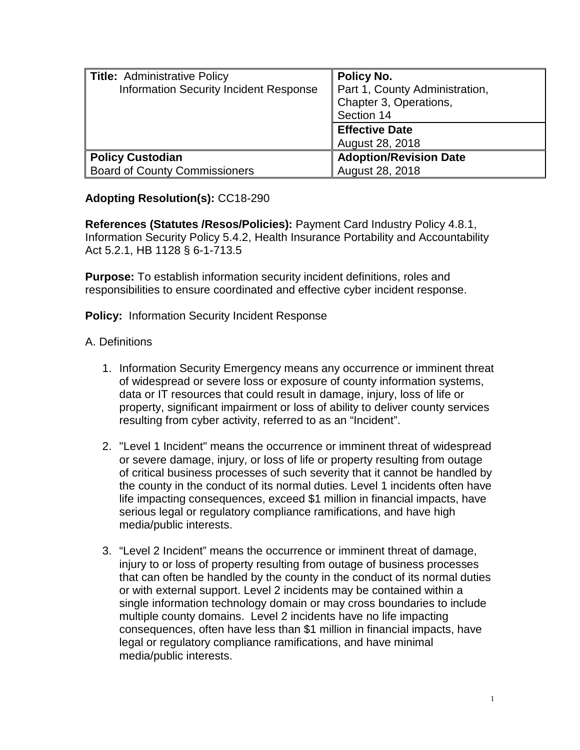| Title: Administrative Policy                  | Policy No.                     |
|-----------------------------------------------|--------------------------------|
| <b>Information Security Incident Response</b> | Part 1, County Administration, |
|                                               | Chapter 3, Operations,         |
|                                               | Section 14                     |
|                                               | <b>Effective Date</b>          |
|                                               | August 28, 2018                |
| <b>Policy Custodian</b>                       | <b>Adoption/Revision Date</b>  |
| <b>Board of County Commissioners</b>          | August 28, 2018                |

## **Adopting Resolution(s):** CC18-290

**References (Statutes /Resos/Policies):** Payment Card Industry Policy 4.8.1, Information Security Policy 5.4.2, Health Insurance Portability and Accountability Act 5.2.1, HB 1128 § 6-1-713.5

**Purpose:** To establish information security incident definitions, roles and responsibilities to ensure coordinated and effective cyber incident response.

**Policy:** Information Security Incident Response

## A. Definitions

- 1. Information Security Emergency means any occurrence or imminent threat of widespread or severe loss or exposure of county information systems, data or IT resources that could result in damage, injury, loss of life or property, significant impairment or loss of ability to deliver county services resulting from cyber activity, referred to as an "Incident".
- 2. "Level 1 Incident" means the occurrence or imminent threat of widespread or severe damage, injury, or loss of life or property resulting from outage of critical business processes of such severity that it cannot be handled by the county in the conduct of its normal duties. Level 1 incidents often have life impacting consequences, exceed \$1 million in financial impacts, have serious legal or regulatory compliance ramifications, and have high media/public interests.
- 3. "Level 2 Incident" means the occurrence or imminent threat of damage, injury to or loss of property resulting from outage of business processes that can often be handled by the county in the conduct of its normal duties or with external support. Level 2 incidents may be contained within a single information technology domain or may cross boundaries to include multiple county domains. Level 2 incidents have no life impacting consequences, often have less than \$1 million in financial impacts, have legal or regulatory compliance ramifications, and have minimal media/public interests.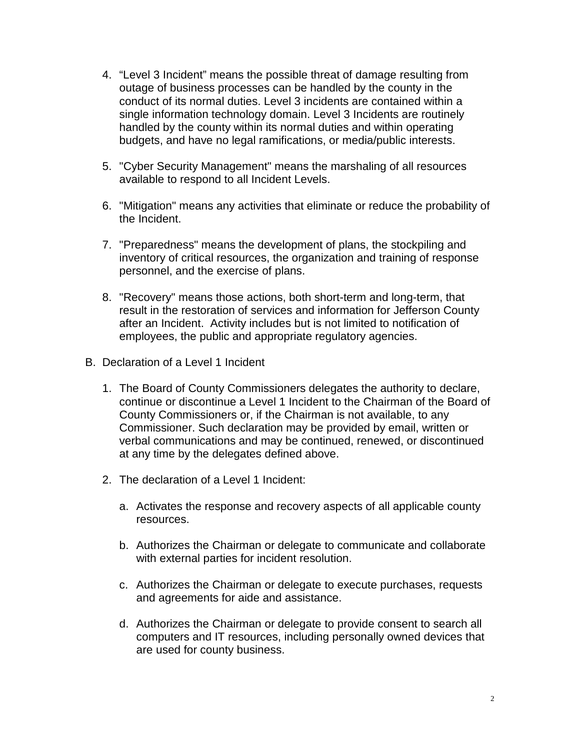- 4. "Level 3 Incident" means the possible threat of damage resulting from outage of business processes can be handled by the county in the conduct of its normal duties. Level 3 incidents are contained within a single information technology domain. Level 3 Incidents are routinely handled by the county within its normal duties and within operating budgets, and have no legal ramifications, or media/public interests.
- 5. "Cyber Security Management" means the marshaling of all resources available to respond to all Incident Levels.
- 6. "Mitigation" means any activities that eliminate or reduce the probability of the Incident.
- 7. "Preparedness" means the development of plans, the stockpiling and inventory of critical resources, the organization and training of response personnel, and the exercise of plans.
- 8. "Recovery" means those actions, both short-term and long-term, that result in the restoration of services and information for Jefferson County after an Incident. Activity includes but is not limited to notification of employees, the public and appropriate regulatory agencies.
- B. Declaration of a Level 1 Incident
	- 1. The Board of County Commissioners delegates the authority to declare, continue or discontinue a Level 1 Incident to the Chairman of the Board of County Commissioners or, if the Chairman is not available, to any Commissioner. Such declaration may be provided by email, written or verbal communications and may be continued, renewed, or discontinued at any time by the delegates defined above.
	- 2. The declaration of a Level 1 Incident:
		- a. Activates the response and recovery aspects of all applicable county resources.
		- b. Authorizes the Chairman or delegate to communicate and collaborate with external parties for incident resolution.
		- c. Authorizes the Chairman or delegate to execute purchases, requests and agreements for aide and assistance.
		- d. Authorizes the Chairman or delegate to provide consent to search all computers and IT resources, including personally owned devices that are used for county business.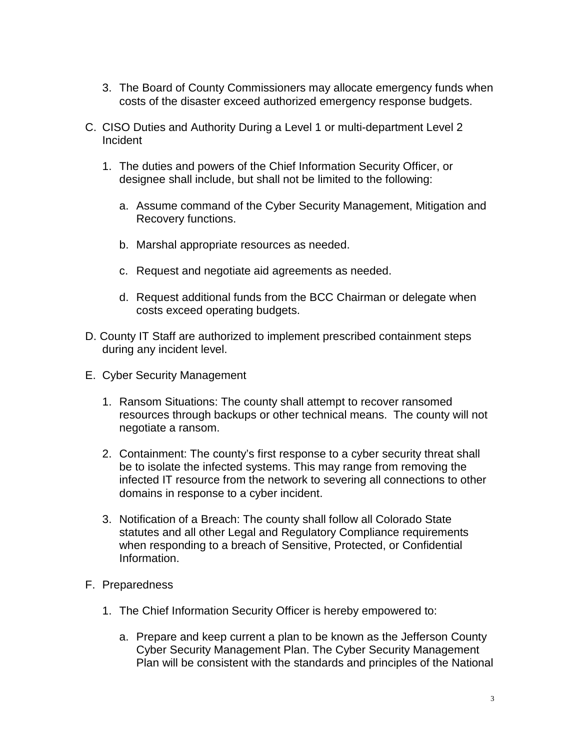- 3. The Board of County Commissioners may allocate emergency funds when costs of the disaster exceed authorized emergency response budgets.
- C. CISO Duties and Authority During a Level 1 or multi-department Level 2 Incident
	- 1. The duties and powers of the Chief Information Security Officer, or designee shall include, but shall not be limited to the following:
		- a. Assume command of the Cyber Security Management, Mitigation and Recovery functions.
		- b. Marshal appropriate resources as needed.
		- c. Request and negotiate aid agreements as needed.
		- d. Request additional funds from the BCC Chairman or delegate when costs exceed operating budgets.
- D. County IT Staff are authorized to implement prescribed containment steps during any incident level.
- E. Cyber Security Management
	- 1. Ransom Situations: The county shall attempt to recover ransomed resources through backups or other technical means. The county will not negotiate a ransom.
	- 2. Containment: The county's first response to a cyber security threat shall be to isolate the infected systems. This may range from removing the infected IT resource from the network to severing all connections to other domains in response to a cyber incident.
	- 3. Notification of a Breach: The county shall follow all Colorado State statutes and all other Legal and Regulatory Compliance requirements when responding to a breach of Sensitive, Protected, or Confidential Information.
- F. Preparedness
	- 1. The Chief Information Security Officer is hereby empowered to:
		- a. Prepare and keep current a plan to be known as the Jefferson County Cyber Security Management Plan. The Cyber Security Management Plan will be consistent with the standards and principles of the National